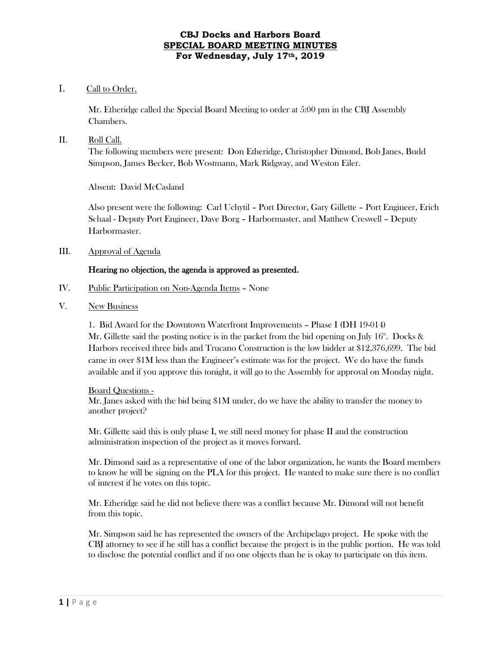# I. Call to Order.

Mr. Etheridge called the Special Board Meeting to order at 5:00 pm in the CBJ Assembly Chambers.

### II. Roll Call.

The following members were present: Don Etheridge, Christopher Dimond, Bob Janes, Budd Simpson, James Becker, Bob Wostmann, Mark Ridgway, and Weston Eiler.

Absent: David McCasland

Also present were the following: Carl Uchytil – Port Director, Gary Gillette – Port Engineer, Erich Schaal - Deputy Port Engineer, Dave Borg – Harbormaster, and Matthew Creswell – Deputy Harbormaster.

III. Approval of Agenda

# Hearing no objection, the agenda is approved as presented.

- IV. Public Participation on Non-Agenda Items None
- V. New Business

1. Bid Award for the Downtown Waterfront Improvements – Phase I (DH 19-014) Mr. Gillette said the posting notice is in the packet from the bid opening on July  $16<sup>th</sup>$ . Docks & Harbors received three bids and Trucano Construction is the low bidder at \$12,376,699. The bid came in over \$1M less than the Engineer's estimate was for the project. We do have the funds available and if you approve this tonight, it will go to the Assembly for approval on Monday night.

#### Board Questions -

Mr. Janes asked with the bid being \$1M under, do we have the ability to transfer the money to another project?

Mr. Gillette said this is only phase I, we still need money for phase II and the construction administration inspection of the project as it moves forward.

Mr. Dimond said as a representative of one of the labor organization, he wants the Board members to know he will be signing on the PLA for this project. He wanted to make sure there is no conflict of interest if he votes on this topic.

Mr. Etheridge said he did not believe there was a conflict because Mr. Dimond will not benefit from this topic.

Mr. Simpson said he has represented the owners of the Archipelago project. He spoke with the CBJ attorney to see if he still has a conflict because the project is in the public portion. He was told to disclose the potential conflict and if no one objects than he is okay to participate on this item.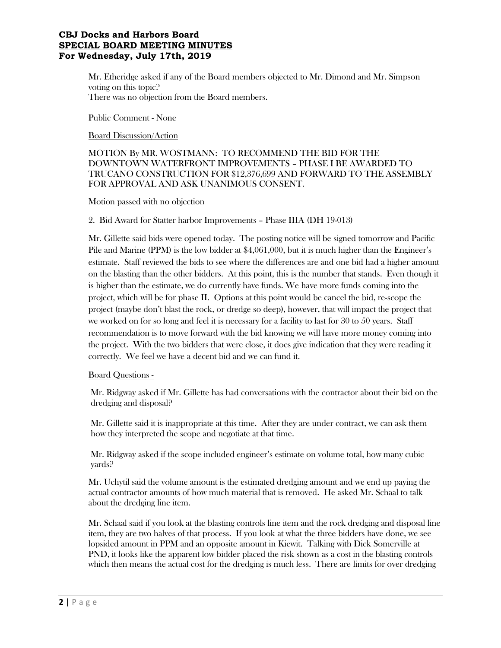Mr. Etheridge asked if any of the Board members objected to Mr. Dimond and Mr. Simpson voting on this topic? There was no objection from the Board members.

#### Public Comment - None

Board Discussion/Action

# MOTION By MR. WOSTMANN: TO RECOMMEND THE BID FOR THE DOWNTOWN WATERFRONT IMPROVEMENTS – PHASE I BE AWARDED TO TRUCANO CONSTRUCTION FOR \$12,376,699 AND FORWARD TO THE ASSEMBLY FOR APPROVAL AND ASK UNANIMOUS CONSENT.

Motion passed with no objection

### 2. Bid Award for Statter harbor Improvements – Phase IIIA (DH 19-013)

Mr. Gillette said bids were opened today. The posting notice will be signed tomorrow and Pacific Pile and Marine (PPM) is the low bidder at \$4,061,000, but it is much higher than the Engineer's estimate. Staff reviewed the bids to see where the differences are and one bid had a higher amount on the blasting than the other bidders. At this point, this is the number that stands. Even though it is higher than the estimate, we do currently have funds. We have more funds coming into the project, which will be for phase II. Options at this point would be cancel the bid, re-scope the project (maybe don't blast the rock, or dredge so deep), however, that will impact the project that we worked on for so long and feel it is necessary for a facility to last for 30 to 50 years. Staff recommendation is to move forward with the bid knowing we will have more money coming into the project. With the two bidders that were close, it does give indication that they were reading it correctly. We feel we have a decent bid and we can fund it.

### Board Questions -

Mr. Ridgway asked if Mr. Gillette has had conversations with the contractor about their bid on the dredging and disposal?

Mr. Gillette said it is inappropriate at this time. After they are under contract, we can ask them how they interpreted the scope and negotiate at that time.

Mr. Ridgway asked if the scope included engineer's estimate on volume total, how many cubic yards?

Mr. Uchytil said the volume amount is the estimated dredging amount and we end up paying the actual contractor amounts of how much material that is removed. He asked Mr. Schaal to talk about the dredging line item.

Mr. Schaal said if you look at the blasting controls line item and the rock dredging and disposal line item, they are two halves of that process. If you look at what the three bidders have done, we see lopsided amount in PPM and an opposite amount in Kiewit. Talking with Dick Somerville at PND, it looks like the apparent low bidder placed the risk shown as a cost in the blasting controls which then means the actual cost for the dredging is much less. There are limits for over dredging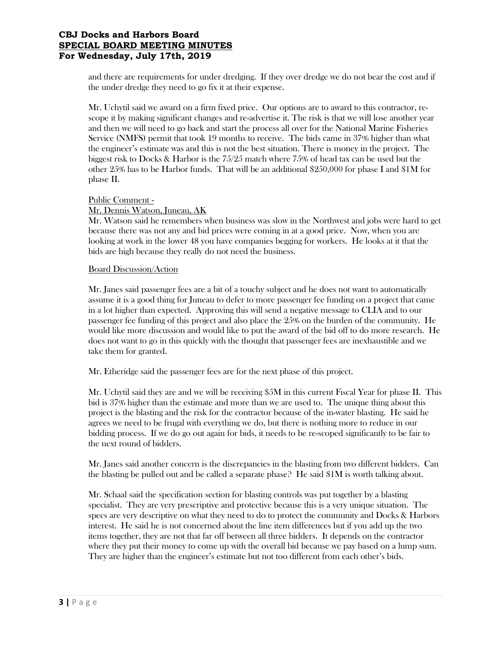and there are requirements for under dredging. If they over dredge we do not bear the cost and if the under dredge they need to go fix it at their expense.

Mr. Uchytil said we award on a firm fixed price. Our options are to award to this contractor, rescope it by making significant changes and re-advertise it. The risk is that we will lose another year and then we will need to go back and start the process all over for the National Marine Fisheries Service (NMFS) permit that took 19 months to receive. The bids came in 37% higher than what the engineer's estimate was and this is not the best situation. There is money in the project. The biggest risk to Docks & Harbor is the 75/25 match where 75% of head tax can be used but the other 25% has to be Harbor funds. That will be an additional \$250,000 for phase I and \$1M for phase II.

### Public Comment - Mr. Dennis Watson, Juneau, AK

Mr. Watson said he remembers when business was slow in the Northwest and jobs were hard to get because there was not any and bid prices were coming in at a good price. Now, when you are looking at work in the lower 48 you have companies begging for workers. He looks at it that the bids are high because they really do not need the business.

### Board Discussion/Action

Mr. Janes said passenger fees are a bit of a touchy subject and he does not want to automatically assume it is a good thing for Juneau to defer to more passenger fee funding on a project that came in a lot higher than expected. Approving this will send a negative message to CLIA and to our passenger fee funding of this project and also place the 25% on the burden of the community. He would like more discussion and would like to put the award of the bid off to do more research. He does not want to go in this quickly with the thought that passenger fees are inexhaustible and we take them for granted.

Mr. Etheridge said the passenger fees are for the next phase of this project.

Mr. Uchytil said they are and we will be receiving \$5M in this current Fiscal Year for phase II. This bid is 37% higher than the estimate and more than we are used to. The unique thing about this project is the blasting and the risk for the contractor because of the in-water blasting. He said he agrees we need to be frugal with everything we do, but there is nothing more to reduce in our bidding process. If we do go out again for bids, it needs to be re-scoped significantly to be fair to the next round of bidders.

Mr. Janes said another concern is the discrepancies in the blasting from two different bidders. Can the blasting be pulled out and be called a separate phase? He said \$1M is worth talking about.

Mr. Schaal said the specification section for blasting controls was put together by a blasting specialist. They are very prescriptive and protective because this is a very unique situation. The specs are very descriptive on what they need to do to protect the community and Docks & Harbors interest. He said he is not concerned about the line item differences but if you add up the two items together, they are not that far off between all three bidders. It depends on the contractor where they put their money to come up with the overall bid because we pay based on a lump sum. They are higher than the engineer's estimate but not too different from each other's bids.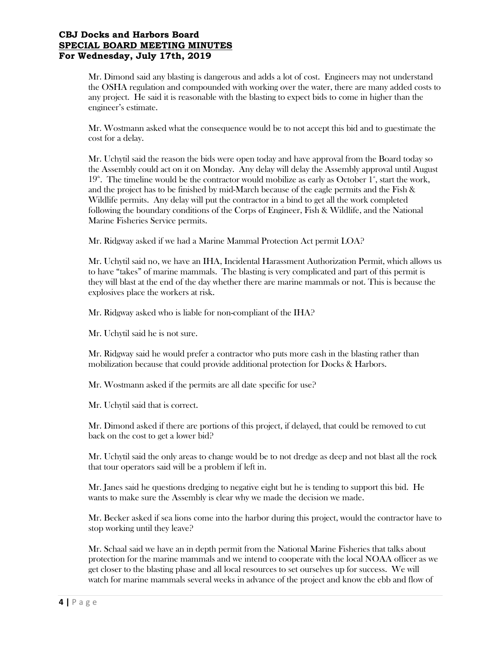Mr. Dimond said any blasting is dangerous and adds a lot of cost. Engineers may not understand the OSHA regulation and compounded with working over the water, there are many added costs to any project. He said it is reasonable with the blasting to expect bids to come in higher than the engineer's estimate.

Mr. Wostmann asked what the consequence would be to not accept this bid and to guestimate the cost for a delay.

Mr. Uchytil said the reason the bids were open today and have approval from the Board today so the Assembly could act on it on Monday. Any delay will delay the Assembly approval until August  $19<sup>th</sup>$ . The timeline would be the contractor would mobilize as early as October 1<sup>s</sup>, start the work, and the project has to be finished by mid-March because of the eagle permits and the Fish & Wildlife permits. Any delay will put the contractor in a bind to get all the work completed following the boundary conditions of the Corps of Engineer, Fish & Wildlife, and the National Marine Fisheries Service permits.

Mr. Ridgway asked if we had a Marine Mammal Protection Act permit LOA?

Mr. Uchytil said no, we have an IHA, Incidental Harassment Authorization Permit, which allows us to have "takes" of marine mammals. The blasting is very complicated and part of this permit is they will blast at the end of the day whether there are marine mammals or not. This is because the explosives place the workers at risk.

Mr. Ridgway asked who is liable for non-compliant of the IHA?

Mr. Uchytil said he is not sure.

Mr. Ridgway said he would prefer a contractor who puts more cash in the blasting rather than mobilization because that could provide additional protection for Docks & Harbors.

Mr. Wostmann asked if the permits are all date specific for use?

Mr. Uchytil said that is correct.

Mr. Dimond asked if there are portions of this project, if delayed, that could be removed to cut back on the cost to get a lower bid?

Mr. Uchytil said the only areas to change would be to not dredge as deep and not blast all the rock that tour operators said will be a problem if left in.

Mr. Janes said he questions dredging to negative eight but he is tending to support this bid. He wants to make sure the Assembly is clear why we made the decision we made.

Mr. Becker asked if sea lions come into the harbor during this project, would the contractor have to stop working until they leave?

Mr. Schaal said we have an in depth permit from the National Marine Fisheries that talks about protection for the marine mammals and we intend to cooperate with the local NOAA officer as we get closer to the blasting phase and all local resources to set ourselves up for success. We will watch for marine mammals several weeks in advance of the project and know the ebb and flow of